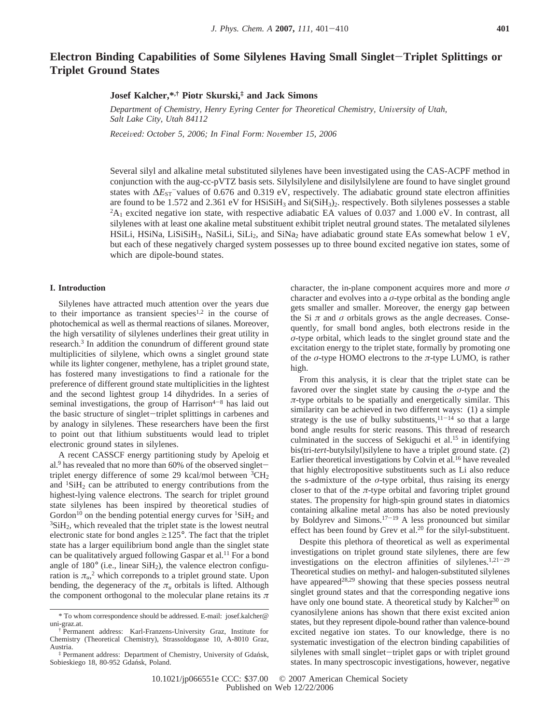# **Electron Binding Capabilities of Some Silylenes Having Small Singlet**-**Triplet Splittings or Triplet Ground States**

## **Josef Kalcher,\*,† Piotr Skurski,‡ and Jack Simons**

*Department of Chemistry, Henry Eyring Center for Theoretical Chemistry, University of Utah, Salt Lake City, Utah 84112*

*Recei*V*ed: October 5, 2006; In Final Form: No*V*ember 15, 2006*

Several silyl and alkaline metal substituted silylenes have been investigated using the CAS-ACPF method in conjunction with the aug-cc-pVTZ basis sets. Silylsilylene and disilylsilylene are found to have singlet ground states with  $\Delta E_{ST}$ <sup>-</sup>values of 0.676 and 0.319 eV, respectively. The adiabatic ground state electron affinities are found to be 1.572 and 2.361 eV for HSiSiH<sub>3</sub> and Si(SiH<sub>3</sub>)<sub>2</sub>. respectively. Both silylenes possesses a stable  ${}^2A_1$  excited negative ion state, with respective adiabatic EA values of 0.037 and 1.000 eV. In contrast, all silylenes with at least one akaline metal substituent exhibit triplet neutral ground states. The metalated silylenes HSiLi, HSiNa, LiSiSiH<sub>3</sub>, NaSiLi, SiLi<sub>2</sub>, and SiNa<sub>2</sub> have adiabatic ground state EAs somewhat below 1 eV, but each of these negatively charged system possesses up to three bound excited negative ion states, some of which are dipole-bound states.

## **I. Introduction**

Silylenes have attracted much attention over the years due to their importance as transient species<sup>1,2</sup> in the course of photochemical as well as thermal reactions of silanes. Moreover, the high versatility of silylenes underlines their great utility in research.3 In addition the conundrum of different ground state multiplicities of silylene, which owns a singlet ground state while its lighter congener, methylene, has a triplet ground state, has fostered many investigations to find a rationale for the preference of different ground state multiplicities in the lightest and the second lightest group 14 dihydrides. In a series of seminal investigations, the group of Harrison $4-8$  has laid out the basic structure of singlet-triplet splittings in carbenes and by analogy in silylenes. These researchers have been the first to point out that lithium substituents would lead to triplet electronic ground states in silylenes.

A recent CASSCF energy partitioning study by Apeloig et al.<sup>9</sup> has revealed that no more than 60% of the observed singlettriplet energy difference of some 29 kcal/mol between  ${}^{3}CH_{2}$ and  ${}^{1}SiH_{2}$  can be attributed to energy contributions from the highest-lying valence electrons. The search for triplet ground state silylenes has been inspired by theoretical studies of Gordon<sup>10</sup> on the bending potential energy curves for  ${}^{1}SiH_{2}$  and  ${}^{3}$ SiH<sub>2</sub>, which revealed that the triplet state is the lowest neutral electronic state for bond angles  $\geq 125^{\circ}$ . The fact that the triplet state has a larger equilibrium bond angle than the singlet state can be qualitatively argued following Gaspar et al.<sup>11</sup> For a bond angle of  $180^\circ$  (i.e., linear SiH<sub>2</sub>), the valence electron configuration is  $\pi_{u}$ <sup>2</sup> which correponds to a triplet ground state. Upon bending, the degeneracy of the  $\pi_u$  orbitals is lifted. Although the component orthogonal to the molecular plane retains its *π*

character, the in-plane component acquires more and more *σ* character and evolves into a *σ*-type orbital as the bonding angle gets smaller and smaller. Moreover, the energy gap between the Si  $\pi$  and  $\sigma$  orbitals grows as the angle decreases. Consequently, for small bond angles, both electrons reside in the *σ*-type orbital, which leads to the singlet ground state and the excitation energy to the triplet state, formally by promoting one of the *σ*-type HOMO electrons to the *π*-type LUMO, is rather high.

From this analysis, it is clear that the triplet state can be favored over the singlet state by causing the *σ*-type and the  $\pi$ -type orbitals to be spatially and energetically similar. This similarity can be achieved in two different ways: (1) a simple strategy is the use of bulky substituents,  $11-14$  so that a large bond angle results for steric reasons. This thread of research culminated in the success of Sekiguchi et al.<sup>15</sup> in identifying bis(tri-*tert*-butylsilyl)silylene to have a triplet ground state. (2) Earlier theoretical investigations by Colvin et al.16 have revealed that highly electropositive substituents such as Li also reduce the s-admixture of the  $\sigma$ -type orbital, thus raising its energy closer to that of the  $\pi$ -type orbital and favoring triplet ground states. The propensity for high-spin ground states in diatomics containing alkaline metal atoms has also be noted previously by Boldyrev and Simons.17-<sup>19</sup> A less pronounced but similar effect has been found by Grev et al.<sup>20</sup> for the silyl-substituent.

Despite this plethora of theoretical as well as experimental investigations on triplet ground state silylenes, there are few investigations on the electron affinities of silylenes.1,21-<sup>29</sup> Theoretical studies on methyl- and halogen-substituted silylenes have appeared<sup>28,29</sup> showing that these species possess neutral singlet ground states and that the corresponding negative ions have only one bound state. A theoretical study by Kalcher<sup>30</sup> on cyanosilylene anions has shown that there exist excited anion states, but they represent dipole-bound rather than valence-bound excited negative ion states. To our knowledge, there is no systematic investigation of the electron binding capabilities of silylenes with small singlet-triplet gaps or with triplet ground states. In many spectroscopic investigations, however, negative

<sup>\*</sup> To whom correspondence should be addressed. E-mail: josef.kalcher@ uni-graz.at.

<sup>†</sup> Permanent address: Karl-Franzens-University Graz, Institute for Chemistry (Theoretical Chemistry), Strassoldogasse 10, A-8010 Graz, Austria.

<sup>‡</sup> Permanent address: Department of Chemistry, University of Gdan´sk, Sobieskiego 18, 80-952 Gdańsk, Poland.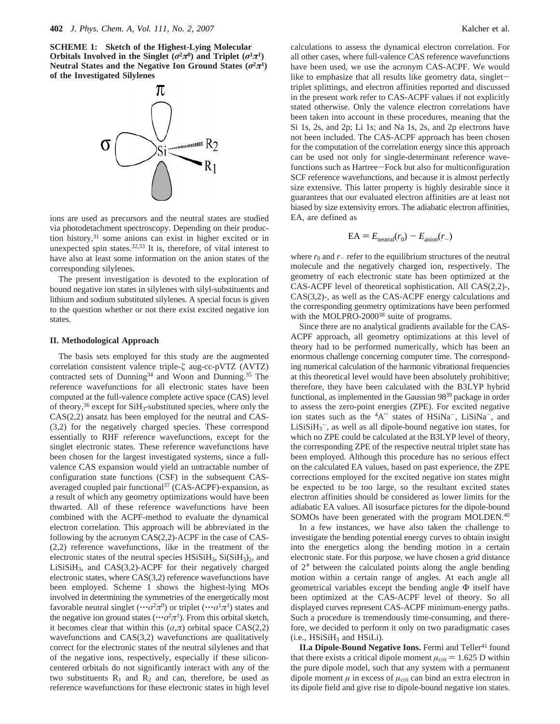**SCHEME 1: Sketch of the Highest-Lying Molecular Orbitals Involved in the Singlet (** $\sigma^2 \pi^0$ **) and Triplet (** $\sigma^1 \pi^1$ **) Neutral States and the Negative Ion Ground States**  $(\sigma^2 \pi^1)$ **of the Investigated Silylenes**



ions are used as precursors and the neutral states are studied via photodetachment spectroscopy. Depending on their production history,<sup>31</sup> some anions can exist in higher excited or in unexpected spin states. $32,33$  It is, therefore, of vital interest to have also at least some information on the anion states of the corresponding silylenes.

The present investigation is devoted to the exploration of bound negative ion states in silylenes with silyl-substituents and lithium and sodium substituted silylenes. A special focus is given to the question whether or not there exist excited negative ion states.

### **II. Methodological Approach**

The basis sets employed for this study are the augmented correlation consistent valence triple-*ú* aug-cc-pVTZ (AVTZ) contracted sets of Dunning<sup>34</sup> and Woon and Dunning.<sup>35</sup> The reference wavefunctions for all electronic states have been computed at the full-valence complete active space (CAS) level of theory,36 except for SiH3-substituted species, where only the CAS(2,2) ansatz has been employed for the neutral and CAS- (3,2) for the negatively charged species. These correspond essentially to RHF reference wavefunctions, except for the singlet electronic states. These reference wavefunctions have been chosen for the largest investigated systems, since a fullvalence CAS expansion would yield an untractable number of configuration state functions (CSF) in the subsequent CASaveraged coupled pair functional<sup>37</sup> (CAS-ACPF)-expansion, as a result of which any geometry optimizations would have been thwarted. All of these reference wavefunctions have been combined with the ACPF-method to evaluate the dynamical electron correlation. This approach will be abbreviated in the following by the acronym CAS(2,2)-ACPF in the case of CAS- (2,2) reference wavefunctions, like in the treatment of the electronic states of the neutral species  $HSiSiH_3$ ,  $Si(SiH_3)_2$ , and  $LiSiSiH<sub>3</sub>$ , and  $CAS(3,2)$ -ACPF for their negatively charged electronic states, where CAS(3,2) reference wavefunctions have been employed. Scheme 1 shows the highest-lying MOs involved in determining the symmetries of the energetically most favorable neutral singlet  $(\cdots \sigma^2 \pi^0)$  or triplet  $(\cdots \sigma^1 \pi^1)$  states and the negative ion ground states ( $\cdots \sigma^2 \pi^1$ ). From this orbital sketch, it becomes clear that within this  $(\sigma, \pi)$  orbital space CAS(2,2) wavefunctions and CAS(3,2) wavefunctions are qualitatively correct for the electronic states of the neutral silylenes and that of the negative ions, respectively, especially if these siliconcentered orbitals do not significantly interact with any of the two substituents  $R_1$  and  $R_2$  and can, therefore, be used as reference wavefunctions for these electronic states in high level

calculations to assess the dynamical electron correlation. For all other cases, where full-valence CAS reference wavefunctions have been used, we use the acronym CAS-ACPF. We would like to emphasize that all results like geometry data, singlettriplet splittings, and electron affinities reported and discussed in the present work refer to CAS-ACPF values if not explicitly stated otherwise. Only the valence electron correlations have been taken into account in these procedures, meaning that the Si 1s, 2s, and 2p; Li 1s; and Na 1s, 2s, and 2p electrons have not been included. The CAS-ACPF approach has been chosen for the computation of the correlation energy since this approach can be used not only for single-determinant reference wavefunctions such as Hartree-Fock but also for multiconfiguration SCF reference wavefunctions, and because it is almost perfectly size extensive. This latter property is highly desirable since it guarantees that our evaluated electron affinities are at least not biased by size extensivity errors. The adiabatic electron affinities, EA, are defined as

$$
EA = E_{\text{neutral}}(r_0) - E_{\text{anion}}(r_-)
$$

where  $r_0$  and  $r_$  refer to the equilibrium structures of the neutral molecule and the negatively charged ion, respectively. The geometry of each electronic state has been optimized at the CAS-ACPF level of theoretical sophistication. All CAS(2,2)-, CAS(3,2)-, as well as the CAS-ACPF energy calculations and the corresponding geometry optimizations have been performed with the MOLPRO-2000<sup>38</sup> suite of programs.

Since there are no analytical gradients available for the CAS-ACPF approach, all geometry optimizations at this level of theory had to be performed numerically, which has been an enormous challenge concerning computer time. The corresponding numerical calculation of the harmonic vibrational frequencies at this theoretical level would have been absolutely prohibitive; therefore, they have been calculated with the B3LYP hybrid functional, as implemented in the Gaussian 9839 package in order to assess the zero-point energies (ZPE). For excited negative ion states such as the <sup>4</sup>A" states of HSiNa<sup>-</sup>, LiSiNa<sup>-</sup>, and  $LiSiSiH<sub>3</sub><sup>-</sup>$ , as well as all dipole-bound negative ion states, for which no ZPE could be calculated at the B3LYP level of theory, the corresponding ZPE of the respective neutral triplet state has been employed. Although this procedure has no serious effect on the calculated EA values, based on past experience, the ZPE corrections employed for the excited negative ion states might be expected to be too large, so the resultant excited states electron affinities should be considered as lower limits for the adiabatic EA values. All isosurface pictures for the dipole-bound SOMOs have been generated with the program MOLDEN.<sup>40</sup>

In a few instances, we have also taken the challenge to investigate the bending potential energy curves to obtain insight into the energetics along the bending motion in a certain electronic state. For this purpose, we have chosen a grid distance of 2° between the calculated points along the angle bending motion within a certain range of angles. At each angle all geometrical variables except the bending angle Φ itself have been optimized at the CAS-ACPF level of theory. So all displayed curves represent CAS-ACPF minimum-energy paths. Such a procedure is tremendously time-consuming, and therefore, we decided to perform it only on two paradigmatic cases  $(i.e., HSiSiH<sub>3</sub> and HSiLi).$ 

**II.a Dipole-Bound Negative Ions.** Fermi and Teller<sup>41</sup> found that there exists a critical dipole moment  $\mu_{\text{crit}} = 1.625$  D within the pure dipole model, such that any system with a permanent dipole moment  $\mu$  in excess of  $\mu_{\text{crit}}$  can bind an extra electron in its dipole field and give rise to dipole-bound negative ion states.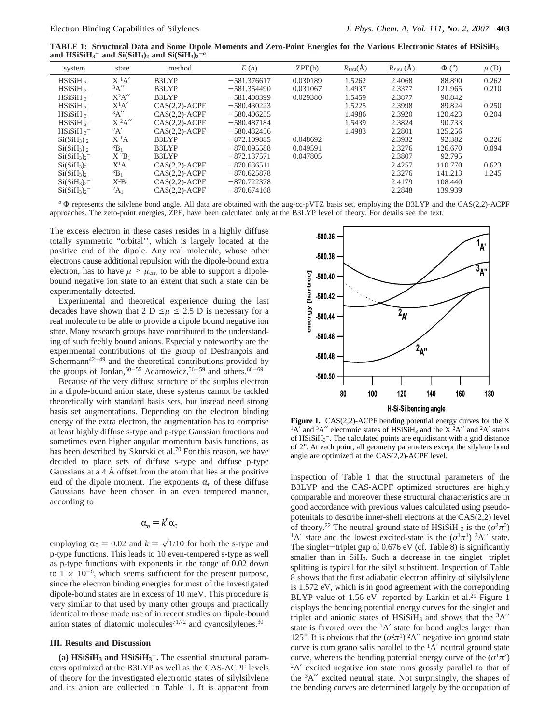**TABLE 1: Structural Data and Some Dipole Moments and Zero-Point Energies for the Various Electronic States of HSiSiH3** and  $HSiSiH<sub>3</sub><sup>-</sup>$  and  $Si(SiH<sub>3</sub>)<sub>2</sub>$  and  $Si(SiH<sub>3</sub>)<sub>2</sub><sup>-a</sup>$ 

| system                             | state       | method             | E(h)          | ZPE(h)   | $R_{\text{HSi}}(\AA)$ | $R_{\text{SiSi}}(\AA)$ | $\Phi$ (°) | $\mu$ (D) |
|------------------------------------|-------------|--------------------|---------------|----------|-----------------------|------------------------|------------|-----------|
| HSiSiH <sub>3</sub>                | $X^1A'$     | B <sub>3L</sub> YP | $-581.376617$ | 0.030189 | 1.5262                | 2.4068                 | 88.890     | 0.262     |
| HSiSiH <sub>3</sub>                | 3A''        | B <sub>3L</sub> YP | $-581.354490$ | 0.031067 | 1.4937                | 2.3377                 | 121.965    | 0.210     |
| HSiSiH <sub>3</sub>                | $X^2A''$    | B3LYP              | $-581.408399$ | 0.029380 | 1.5459                | 2.3877                 | 90.842     |           |
| HSiSiH <sub>3</sub>                | $X^1A'$     | $CAS(2,2)$ -ACPF   | $-580.430223$ |          | 1.5225                | 2.3998                 | 89.824     | 0.250     |
| $HSiSH_3$                          | 3A''        | $CAS(2,2)$ -ACPF   | $-580.406255$ |          | 1.4986                | 2.3920                 | 120.423    | 0.204     |
| HSiSiH <sub>3</sub>                | $X^2A''$    | $CAS(2,2)$ -ACPF   | $-580.487184$ |          | 1.5439                | 2.3824                 | 90.733     |           |
| HSiSiH <sub>3</sub>                | 2A'         | $CAS(2.2)-ACPF$    | $-580.432456$ |          | 1.4983                | 2.2801                 | 125.256    |           |
| $Si(SiH_3)$                        | $X^{1}A$    | B3LYP              | $-872.109885$ | 0.048692 |                       | 2.3932                 | 92.382     | 0.226     |
| $Si(SiH_3)$                        | ${}^{3}B_1$ | B3LYP              | $-870.095588$ | 0.049591 |                       | 2.3276                 | 126.670    | 0.094     |
| Si(SiH <sub>3</sub> ) <sub>2</sub> | $X^2B_1$    | B3LYP              | $-872.137571$ | 0.047805 |                       | 2.3807                 | 92.795     |           |
| $Si(SiH_3)_2$                      | $X^1A$      | $CAS(2.2)-ACPF$    | $-870.636511$ |          |                       | 2.4257                 | 110.770    | 0.623     |
| Si(SiH <sub>3</sub> ) <sub>2</sub> | ${}^{3}B_1$ | $CAS(2.2)-ACPF$    | $-870.625878$ |          |                       | 2.3276                 | 141.213    | 1.245     |
| $Si(SiH_3)-$                       | $X^2B_1$    | $CAS(2,2)$ -ACPF   | $-870.722378$ |          |                       | 2.4179                 | 108.440    |           |
| $Si(SiH_3)-$                       | ${}^2A_1$   | $CAS(2,2)$ -ACPF   | $-870.674168$ |          |                       | 2.2848                 | 139.939    |           |
|                                    |             |                    |               |          |                       |                        |            |           |

*<sup>a</sup>* Φ represents the silylene bond angle. All data are obtained with the aug-cc-pVTZ basis set, employing the B3LYP and the CAS(2,2)-ACPF approaches. The zero-point energies, ZPE, have been calculated only at the B3LYP level of theory. For details see the text.

The excess electron in these cases resides in a highly diffuse totally symmetric "orbital'', which is largely located at the positive end of the dipole. Any real molecule, whose other electrons cause additional repulsion with the dipole-bound extra electron, has to have  $\mu > \mu_{\text{crit}}$  to be able to support a dipolebound negative ion state to an extent that such a state can be experimentally detected.

Experimental and theoretical experience during the last decades have shown that 2 D  $\leq \mu \leq 2.5$  D is necessary for a real molecule to be able to provide a dipole bound negative ion state. Many research groups have contributed to the understanding of such feebly bound anions. Especially noteworthy are the experimental contributions of the group of Desfrançois and  $S$ chermann<sup>42-49</sup> and the theoretical contributions provided by the groups of Jordan,<sup>50-55</sup> Adamowicz,<sup>56-59</sup> and others.<sup>60-69</sup>

Because of the very diffuse structure of the surplus electron in a dipole-bound anion state, these systems cannot be tackled theoretically with standard basis sets, but instead need strong basis set augmentations. Depending on the electron binding energy of the extra electron, the augmentation has to comprise at least highly diffuse s-type and p-type Gaussian functions and sometimes even higher angular momentum basis functions, as has been described by Skurski et al.<sup>70</sup> For this reason, we have decided to place sets of diffuse s-type and diffuse p-type Gaussians at a 4 Å offset from the atom that lies at the positive end of the dipole moment. The exponents  $\alpha_n$  of these diffuse Gaussians have been chosen in an even tempered manner, according to

$$
\alpha_n = k^n \alpha_0
$$

employing  $\alpha_0 = 0.02$  and  $k = \sqrt{1/10}$  for both the s-type and p-type functions. This leads to 10 even-tempered s-type as well as p-type functions with exponents in the range of 0.02 down to  $1 \times 10^{-6}$ , which seems sufficient for the present purpose, since the electron binding energies for most of the investigated dipole-bound states are in excess of 10 meV. This procedure is very similar to that used by many other groups and practically identical to those made use of in recent studies on dipole-bound anion states of diatomic molecules<sup>71,72</sup> and cyanosilylenes.<sup>30</sup>

## **III. Results and Discussion**

**(a) HSiSiH3 and HSiSiH3** -**.** The essential structural parameters optimized at the B3LYP as well as the CAS-ACPF levels of theory for the investigated electronic states of silylsilylene and its anion are collected in Table 1. It is apparent from



Figure 1. CAS(2,2)-ACPF bending potential energy curves for the X <sup>1</sup>A' and <sup>3</sup>A'' electronic states of HSiSiH<sub>3</sub> and the X<sup>2</sup>A'' and <sup>2</sup>A' states of  $HSiSiH<sub>3</sub><sup>-</sup>$ . The calculated points are equidistant with a grid distance of 2°. At each point, all geometry parameters except the silylene bond angle are optimized at the CAS(2,2)-ACPF level.

inspection of Table 1 that the structural parameters of the B3LYP and the CAS-ACPF optimized structures are highly comparable and moreover these structural characteristics are in good accordance with previous values calculated using pseudopotenitals to describe inner-shell electrons at the CAS(2,2) level of theory.<sup>22</sup> The neutral ground state of HSiSiH 3 is the  $(\sigma^2 \pi^0)$ <sup>1</sup>A' state and the lowest excited-state is the  $(\sigma^1 \pi^1)$  <sup>3</sup>A" state. The singlet-triplet gap of  $0.676$  eV (cf. Table 8) is significantly smaller than in  $SiH<sub>2</sub>$ . Such a decrease in the singlet-triplet splitting is typical for the silyl substituent. Inspection of Table 8 shows that the first adiabatic electron affinity of silylsilylene is 1.572 eV, which is in good agreement with the correponding BLYP value of 1.56 eV, reported by Larkin et al.<sup>29</sup> Figure 1 displays the bending potential energy curves for the singlet and triplet and anionic states of HSiSiH<sub>3</sub> and shows that the  ${}^{3}A''$ state is favored over the  ${}^{1}A'$  state for bond angles larger than 125°. It is obvious that the  $(\sigma^2 \pi^1)$  <sup>2</sup>A″ negative ion ground state curve is cum grano salis parallel to the  ${}^{1}A'$  neutral ground state curve, whereas the bending potential energy curve of the  $(\sigma^1 \pi^2)$ 2A′ excited negative ion state runs grossly parallel to that of the  ${}^{3}A''$  excited neutral state. Not surprisingly, the shapes of the bending curves are determined largely by the occupation of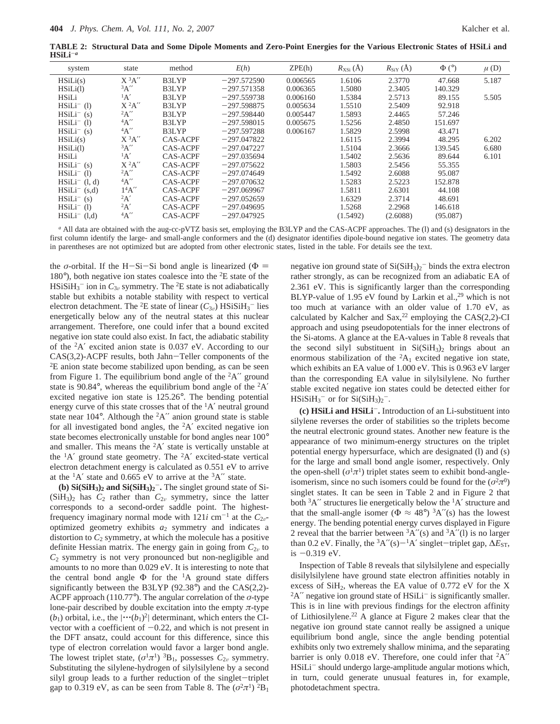**TABLE 2: Structural Data and Some Dipole Moments and Zero-Point Energies for the Various Electronic States of HSiLi and HSiLi**-*<sup>a</sup>*

| system             | state               | method          | E(h)          | ZPE(h)   | $R_{\text{XSi}}(\AA)$ | $R_{\text{SiY}}(\AA)$ | $\Phi$ ( $\circ$ ) | $\mu$ (D) |
|--------------------|---------------------|-----------------|---------------|----------|-----------------------|-----------------------|--------------------|-----------|
| HSiLi(s)           | $X$ <sup>3</sup> A" | B3LYP           | $-297.572590$ | 0.006565 | 1.6106                | 2.3770                | 47.668             | 5.187     |
| HSiLi(1)           | 3A''                | B3LYP           | $-297.571358$ | 0.006365 | 1.5080                | 2.3405                | 140.329            |           |
| <b>HSiLi</b>       | A'                  | B3LYP           | $-297.559738$ | 0.006160 | 1.5384                | 2.5713                | 89.155             | 5.505     |
| $HSiLi^-$ (1)      | $X^2A''$            | B3LYP           | $-297.598875$ | 0.005634 | 1.5510                | 2.5409                | 92.918             |           |
| $HSiLi^{-}(s)$     | 2A''                | B3LYP           | $-297.598440$ | 0.005447 | 1.5893                | 2.4465                | 57.246             |           |
| $HSiLi^{-}$ (1)    | 4A''                | <b>B3LYP</b>    | $-297.598015$ | 0.005675 | 1.5256                | 2.4850                | 151.697            |           |
| $HSiLi^-$ (s)      | 4A''                | B3LYP           | $-297.597288$ | 0.006167 | 1.5829                | 2.5998                | 43.471             |           |
| HSiLi(s)           | $X$ <sup>3</sup> A" | <b>CAS-ACPF</b> | $-297.047822$ |          | 1.6115                | 2.3994                | 48.295             | 6.202     |
| HSiLi(1)           | 3A''                | <b>CAS-ACPF</b> | $-297.047227$ |          | 1.5104                | 2.3666                | 139.545            | 6.680     |
| HSiLi              | $\mathrm{^1A'}$     | <b>CAS-ACPF</b> | $-297.035694$ |          | 1.5402                | 2.5636                | 89.644             | 6.101     |
| $HSiLi^{-}(s)$     | $X$ <sup>2</sup> A" | CAS-ACPF        | $-297.075622$ |          | 1.5803                | 2.5456                | 55.355             |           |
| $HSiLi^-$ (1)      | 2A''                | <b>CAS-ACPF</b> | $-297.074649$ |          | 1.5492                | 2.6088                | 95.087             |           |
| $HSiLi^{-}$ (1, d) | 4A''                | <b>CAS-ACPF</b> | $-297.070632$ |          | 1.5283                | 2.5223                | 152.878            |           |
| $HSiLi^{-}(s,d)$   | 14A''               | <b>CAS-ACPF</b> | $-297.069967$ |          | 1.5811                | 2.6301                | 44.108             |           |
| $HSiLi^-$ (s)      | $^{2}A'$            | <b>CAS-ACPF</b> | $-297.052659$ |          | 1.6329                | 2.3714                | 48.691             |           |
| $HSiLi^-$ (1)      | 2A'                 | <b>CAS-ACPF</b> | $-297.049695$ |          | 1.5268                | 2.2968                | 146.618            |           |
| $HSiLi^-$<br>(l,d) | 4A''                | <b>CAS-ACPF</b> | $-297.047925$ |          | (1.5492)              | (2.6088)              | (95.087)           |           |

*<sup>a</sup>* All data are obtained with the aug-cc-pVTZ basis set, employing the B3LYP and the CAS-ACPF approaches. The (l) and (s) designators in the first column identify the large- and small-angle conformers and the (d) designator identifies dipole-bound negative ion states. The geometry data in parentheses are not optimized but are adopted from other electronic states, listed in the table. For details see the text.

the *σ*-orbital. If the H-Si-Si bond angle is linearized ( $\Phi$  = 180°), both negative ion states coalesce into the 2E state of the  $HSSiH<sub>3</sub><sup>-</sup>$  ion in  $C<sub>3v</sub>$  symmetry. The <sup>2</sup>E state is not adiabatically stable but exhibits a notable stability with respect to vertical electron detachment. The <sup>2</sup>E state of linear  $(C_{3v})$  HSiSiH<sub>3</sub><sup>-</sup> lies energetically below any of the neutral states at this nuclear arrangement. Therefore, one could infer that a bound excited negative ion state could also exist. In fact, the adiabatic stability of the 2A′ excited anion state is 0.037 eV. According to our  $CAS(3,2)-ACPF$  results, both Jahn-Teller components of the  ${}^{2}E$  anion state become stabilized upon bending, as can be seen from Figure 1. The equilibrium bond angle of the  ${}^{2}A''$  ground state is 90.84 $^{\circ}$ , whereas the equilibrium bond angle of the  $^{2}A'$ excited negative ion state is 125.26°. The bending potential energy curve of this state crosses that of the <sup>1</sup>A' neutral ground state near  $104^\circ$ . Although the  ${}^2A''$  anion ground state is stable for all investigated bond angles, the  ${}^{2}A'$  excited negative ion state becomes electronically unstable for bond angles near 100° and smaller. This means the  ${}^{2}A'$  state is vertically unstable at the  ${}^{1}A'$  ground state geometry. The  ${}^{2}A'$  excited-state vertical electron detachment energy is calculated as 0.551 eV to arrive at the  ${}^{1}A'$  state and 0.665 eV to arrive at the  ${}^{3}A''$  state.

**(b) Si(SiH<sub>3</sub>)<sub>2</sub>** and Si(SiH<sub>3</sub>)<sub>2</sub><sup>-</sup>. The singlet ground state of Si- $(SiH<sub>3</sub>)<sub>2</sub>$  has  $C<sub>2</sub>$  rather than  $C<sub>2</sub><sub>v</sub>$  symmetry, since the latter corresponds to a second-order saddle point. The highestfrequency imaginary normal mode with  $121i$  cm<sup>-1</sup> at the  $C_{2v}$ optimized geometry exhibits *a*<sup>2</sup> symmetry and indicates a distortion to  $C_2$  symmetry, at which the molecule has a positive definite Hessian matrix. The energy gain in going from  $C_{2v}$  to *C*<sup>2</sup> symmetry is not very pronounced but non-negligible and amounts to no more than 0.029 eV. It is interesting to note that the central bond angle  $\Phi$  for the <sup>1</sup>A ground state differs significantly between the B3LYP (92.38°) and the CAS(2,2)- ACPF approach (110.77°). The angular correlation of the *σ*-type lone-pair described by double excitation into the empty  $\pi$ -type  $(b_1)$  orbital, i.e., the  $|\cdots(b_1)^2|$  determinant, which enters the CIvector with a coefficient of  $-0.22$ , and which is not present in the DFT ansatz, could account for this difference, since this type of electron correlation would favor a larger bond angle. The lowest triplet state,  $(\sigma^1 \pi^1)^3 B_1$ , possesses  $C_{2\nu}$  symmetry. Substituting the silylene-hydrogen of silylsilylene by a second silyl group leads to a further reduction of the singlet-triplet gap to 0.319 eV, as can be seen from Table 8. The  $(\sigma^2 \pi^1)^2 B_1$ 

negative ion ground state of  $Si(SiH<sub>3</sub>)<sub>2</sub>$  binds the extra electron rather strongly, as can be recognized from an adiabatic EA of 2.361 eV. This is significantly larger than the corresponding BLYP-value of  $1.95$  eV found by Larkin et al.,<sup>29</sup> which is not too much at variance with an older value of 1.70 eV, as calculated by Kalcher and Sax,<sup>22</sup> employing the CAS(2,2)-CI approach and using pseudopotentials for the inner electrons of the Si-atoms. A glance at the EA-values in Table 8 reveals that the second silyl substituent in  $Si(SiH<sub>3</sub>)<sub>2</sub>$  brings about an enormous stabilization of the  ${}^{2}A_1$  excited negative ion state, which exhibits an EA value of 1.000 eV. This is 0.963 eV larger than the corresponding EA value in silylsilylene. No further stable excited negative ion states could be detected either for  $HSiSiH<sub>3</sub><sup>-</sup>$  or for  $Si(SiH<sub>3</sub>)<sub>2</sub><sup>-</sup>$ .

**(c) HSiLi and HSiLi**-**.** Introduction of an Li-substituent into silylene reverses the order of stabilities so the triplets become the neutral electronic ground states. Another new feature is the appearance of two minimum-energy structures on the triplet potential energy hypersurface, which are designated (l) and (s) for the large and small bond angle isomer, respectively. Only the open-shell  $(\sigma^1 \pi^1)$  triplet states seem to exhibit bond-angleisomerism, since no such isomers could be found for the  $(\sigma^2 \pi^0)$ singlet states. It can be seen in Table 2 and in Figure 2 that both  ${}^{3}A''$  structures lie energetically below the  ${}^{1}A'$  structure and that the small-angle isomer ( $\Phi \approx 48^{\circ}$ )  ${}^{3}A''(s)$  has the lowest energy. The bending potential energy curves displayed in Figure 2 reveal that the barrier between  ${}^{3}A''(s)$  and  ${}^{3}A''(l)$  is no larger than 0.2 eV. Finally, the <sup>3</sup>A″(s)<sup>-1</sup>A′ singlet-triplet gap,  $\Delta E_{ST}$ ,  $is -0.319$  eV.

Inspection of Table 8 reveals that silylsilylene and especially disilylsilylene have ground state electron affinities notably in excess of  $SiH<sub>2</sub>$ , whereas the EA value of 0.772 eV for the X  ${}^{2}A''$  negative ion ground state of HSiLi<sup>-</sup> is significantly smaller. This is in line with previous findings for the electron affinity of Lithiosilylene.<sup>22</sup> A glance at Figure 2 makes clear that the negative ion ground state cannot really be assigned a unique equilibrium bond angle, since the angle bending potential exhibits only two extremely shallow minima, and the separating barrier is only 0.018 eV. Therefore, one could infer that  ${}^{2}A''$ HSiLi<sup>-</sup> should undergo large-amplitude angular motions which, in turn, could generate unusual features in, for example, photodetachment spectra.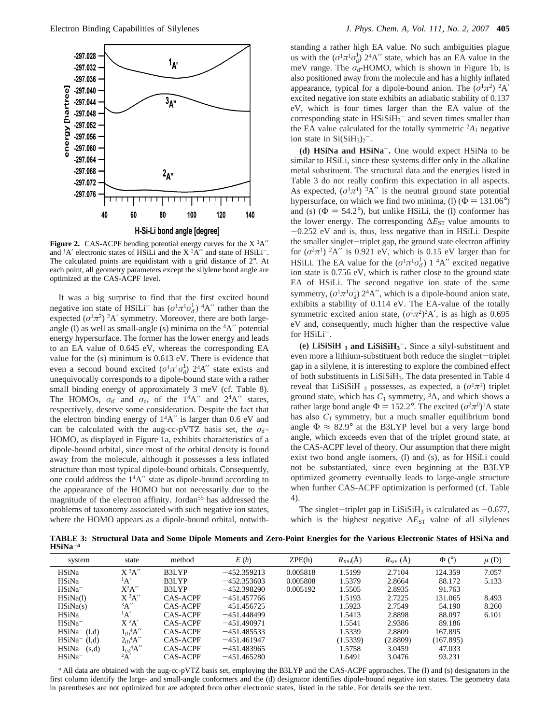

**Figure 2.** CAS-ACPF bending potential energy curves for the  $X<sup>3</sup>A''$ and  ${}^{1}A'$  electronic states of HSiLi and the X ${}^{2}A''$  and state of HSiLi<sup>-</sup>. The calculated points are equidistant with a grid distance of 2°. At each point, all geometry parameters except the silylene bond angle are optimized at the CAS-ACPF level.

It was a big surprise to find that the first excited bound negative ion state of HSiLi<sup>-</sup> has  $(\sigma^1 \pi^1 \sigma_d^1)$ <sup>4</sup>A'' rather than the expected  $(\sigma^1 \pi^2)$  <sup>2</sup>A' symmetry. Moreover, there are both largeangle (I) as well as small-angle (s) minima on the  $4A''$  potential energy hypersurface. The former has the lower energy and leads to an EA value of 0.645 eV, whereas the corresponding EA value for the (s) minimum is 0.613 eV. There is evidence that even a second bound excited  $(\sigma^1 \pi^1 \sigma_d^1)$  2<sup>4</sup>*A*″ state exists and unequivocally corresponds to a dipole-bound state with a rather small binding energy of approximately 3 meV (cf. Table 8). The HOMOs,  $\sigma_{d'}$  and  $\sigma_d$ , of the 1<sup>4</sup>A" and 2<sup>4</sup>A" states, respectively, deserve some consideration. Despite the fact that the electron binding energy of  $1<sup>4</sup>A''$  is larger than 0.6 eV and can be calculated with the aug-cc-pVTZ basis set, the *σ*<sub>d</sub><sup>-</sup>-HOMO, as displayed in Figure 1a, exhibits characteristics of a dipole-bound orbital, since most of the orbital density is found away from the molecule, although it possesses a less inflated structure than most typical dipole-bound orbitals. Consequently, one could address the 14A′′ state as dipole-bound according to the appearance of the HOMO but not necessarily due to the magnitude of the electron affinity. Jordan<sup>55</sup> has addressed the problems of taxonomy associated with such negative ion states, where the HOMO appears as a dipole-bound orbital, notwith-

standing a rather high EA value. No such ambiguities plague us with the  $(\sigma^1 \pi^1 \sigma_d^1)$  2<sup>4</sup>A" state, which has an EA value in the meV range. The  $\sigma_d$ -HOMO, which is shown in Figure 1b, is also positioned away from the molecule and has a highly inflated appearance, typical for a dipole-bound anion. The  $(\sigma^1 \pi^2)$  <sup>2</sup>A' excited negative ion state exhibits an adiabatic stability of 0.137 eV, which is four times larger than the EA value of the corresponding state in  $HSiSiH_3^-$  and seven times smaller than the EA value calculated for the totally symmetric  ${}^{2}A_1$  negative ion state in  $Si(SiH<sub>3</sub>)<sub>2</sub>$ <sup>-</sup>.

**(d) HSiNa and HSiNa**-**.** One would expect HSiNa to be similar to HSiLi, since these systems differ only in the alkaline metal substituent. The structural data and the energies listed in Table 3 do not really confirm this expectation in all aspects. As expected,  $(\sigma^1 \pi^1)$  <sup>3</sup>A" is the neutral ground state potential hypersurface, on which we find two minima, (l) ( $\Phi = 131.06^{\circ}$ ) and (s)  $(\Phi = 54.2^{\circ})$ , but unlike HSiLi, the (l) conformer has the lower energy. The corresponding  $\Delta E_{ST}$  value amounts to -0.252 eV and is, thus, less negative than in HSiLi. Despite the smaller singlet-triplet gap, the ground state electron affinity for  $(\sigma^2 \pi^1)$  <sup>2</sup>A" is 0.921 eV, which is 0.15 eV larger than for HSiLi. The EA value for the  $(\sigma^1 \pi^1 \sigma_d^1)$  1 <sup>4</sup>A'' excited negative ion state is 0.756 eV, which is rather close to the ground state EA of HSiLi. The second negative ion state of the same symmetry,  $(\sigma^1 \pi^1 \sigma_d^1)$  2<sup>4</sup>A'', which is a dipole-bound anion state, exhibits a stability of 0.114 eV. The EA-value of the totally symmetric excited anion state,  $(\sigma^1 \pi^2)^2 A'$ , is as high as 0.695 eV and, consequently, much higher than the respective value for HSiLi-.

**(e) LiSiSiH <sup>3</sup> and LiSiSiH3** -**.** Since a silyl-substituent and even more a lithium-substituent both reduce the singlet-triplet gap in a silylene, it is interesting to explore the combined effect of both substituents in LiSiSiH3. The data presented in Table 4 reveal that LiSiSiH 3 possesses, as expected, a  $(\sigma^1 \pi^1)$  triplet ground state, which has  $C_1$  symmetry,  ${}^3A$ , and which shows a rather large bond angle  $\Phi = 152.2^\circ$ . The excited  $(\sigma^2 \pi^0)^1$ A state has also  $C_1$  symmetry, but a much smaller equilibrium bond angle  $\Phi \approx 82.9^{\circ}$  at the B3LYP level but a very large bond angle, which exceeds even that of the triplet ground state, at the CAS-ACPF level of theory. Our assumption that there might exist two bond angle isomers, (l) and (s), as for HSiLi could not be substantiated, since even beginning at the B3LYP optimized geometry eventually leads to large-angle structure when further CAS-ACPF optimization is performed (cf. Table 4).

The singlet-triplet gap in LiSiSiH<sub>3</sub> is calculated as  $-0.677$ , which is the highest negative  $\Delta E_{ST}$  value of all silylenes

**TABLE 3: Structural Data and Some Dipole Moments and Zero-Point Energies for the Various Electronic States of HSiNa and HSiNa**-*<sup>a</sup>*

| system          | state                     | method          | E(h)          | ZPE(h)   | $R_{\text{XSi}}(\text{A})$ | $R_{\text{SiY}}(\text{A})$ | $\Phi$ (°) | $\mu$ (D) |
|-----------------|---------------------------|-----------------|---------------|----------|----------------------------|----------------------------|------------|-----------|
| HSiNa           | $X^3A''$                  | B3LYP           | $-452.359213$ | 0.005818 | 1.5199                     | 2.7104                     | 124.359    | 7.057     |
| HSiNa           | $\mathbf{A}'$             | B3LYP           | $-452.353603$ | 0.005808 | 1.5379                     | 2.8664                     | 88.172     | 5.133     |
| $HSiNa^-$       | $X^2A''$                  | B3LYP           | $-452.398290$ | 0.005192 | 1.5505                     | 2.8935                     | 91.763     |           |
| HSiNa(1)        | $X$ <sup>3</sup> A"       | CAS-ACPF        | $-451.457766$ |          | 1.5193                     | 2.7225                     | 131.065    | 8.493     |
| HSiNa(s)        | 3A''                      | CAS-ACPF        | $-451.456725$ |          | 1.5923                     | 2.7549                     | 54.190     | 8.260     |
| <b>HSiNa</b>    | $\mathbf{A}'$             | CAS-ACPF        | $-451.448499$ |          | 1.5413                     | 2.8898                     | 88.097     | 6.101     |
| $HSiNa^-$       | $X^2A'$                   | <b>CAS-ACPF</b> | $-451.490971$ |          | 1.5541                     | 2.9386                     | 89.186     |           |
| $HSiNa^-$ (1,d) | $1_0$ <sup>4</sup> A"     | CAS-ACPF        | $-451.485533$ |          | 1.5339                     | 2.8809                     | 167.895    |           |
| $HSiNa^-$ (1,d) | $2_{(1)}$ <sup>4</sup> A" | CAS-ACPF        | $-451.461947$ |          | (1.5339)                   | (2.8809)                   | (167.895)  |           |
| $HSiNa^-$ (s,d) | $1_{(s)}$ <sup>4</sup> A" | CAS-ACPF        | $-451.483965$ |          | 1.5758                     | 3.0459                     | 47.033     |           |
| $HSiNa^-$       | 2A'                       | <b>CAS-ACPF</b> | $-451.465280$ |          | 1.6491                     | 3.0476                     | 93.231     |           |
|                 |                           |                 |               |          |                            |                            |            |           |

*<sup>a</sup>* All data are obtained with the aug-cc-pVTZ basis set, employing the B3LYP and the CAS-ACPF approaches. The (l) and (s) designators in the first column identify the large- and small-angle conformers and the (d) designator identifies dipole-bound negative ion states. The geometry data in parentheses are not optimized but are adopted from other electronic states, listed in the table. For details see the text.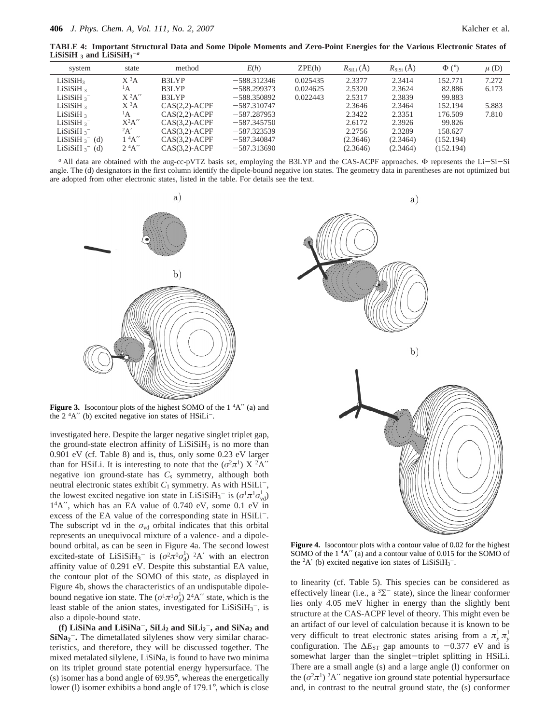**TABLE 4: Important Structural Data and Some Dipole Moments and Zero-Point Energies for the Various Electronic States of**  $LiSiSiH_3^-$  and  $LiSiSiH_3^-$ 

| system                    | state          | method           | E(h)          | ZPE(h)   | $R_{\text{SiLi}}(\AA)$ | $R_{\rm SiSi}(\rm \AA)$ | $\Phi$ (°) | $\mu$ (D) |
|---------------------------|----------------|------------------|---------------|----------|------------------------|-------------------------|------------|-----------|
| LiSiSiH <sub>3</sub>      | $X^3A$         | B3LYP            | $-588.312346$ | 0.025435 | 2.3377                 | 2.3414                  | 152.771    | 7.272     |
| LiSiSiH <sub>3</sub>      | $\mathbf{A}$   | B3LYP            | $-588.299373$ | 0.024625 | 2.5320                 | 2.3624                  | 82.886     | 6.173     |
| LiSiSiH $3$ <sup>-</sup>  | $X^2A''$       | B3LYP            | $-588.350892$ | 0.022443 | 2.5317                 | 2.3839                  | 99.883     |           |
| LiSiSiH <sub>3</sub>      | $X^3A$         | $CAS(2,2)-ACPF$  | $-587.310747$ |          | 2.3646                 | 2.3464                  | 152.194    | 5.883     |
| LiSiSiH <sub>3</sub>      | $\mathbf{A}$   | $CAS(2,2)$ -ACPF | $-587.287953$ |          | 2.3422                 | 2.3351                  | 176.509    | 7.810     |
| LiSiSiH $3$ <sup>-</sup>  | $X^2A''$       | $CAS(3.2)-ACPF$  | $-587.345750$ |          | 2.6172                 | 2.3926                  | 99.826     |           |
| LiSiSiH $3$ <sup>-</sup>  | 2A'            | $CAS(3,2)-ACPF$  | $-587.323539$ |          | 2.2756                 | 2.3289                  | 158.627    |           |
| LiSiSiH $\frac{1}{3}$ (d) | $1 \, {}^4A''$ | $CAS(3,2)-ACPF$  | $-587.340847$ |          | (2.3646)               | (2.3464)                | (152.194)  |           |
| LiSiSiH $\frac{1}{3}$ (d) | $2^4A''$       | $CAS(3,2)-ACPF$  | $-587.313690$ |          | (2.3646)               | (2.3464)                | (152.194)  |           |
|                           |                |                  |               |          |                        |                         |            |           |

*<sup>a</sup>* All data are obtained with the aug-cc-pVTZ basis set, employing the B3LYP and the CAS-ACPF approaches. <sup>Φ</sup> represents the Li-Si-Si angle. The (d) designators in the first column identify the dipole-bound negative ion states. The geometry data in parentheses are not optimized but are adopted from other electronic states, listed in the table. For details see the text.



**Figure 3.** Isocontour plots of the highest SOMO of the 1  $^4$ A" (a) and the  $2 \, {}^4A''$  (b) excited negative ion states of HSiLi<sup>-</sup>.

investigated here. Despite the larger negative singlet triplet gap, the ground-state electron affinity of  $LiSiSiH<sub>3</sub>$  is no more than 0.901 eV (cf. Table 8) and is, thus, only some 0.23 eV larger than for HSiLi. It is interesting to note that the  $(\sigma^2 \pi^1)$  X  $^2$ A'' negative ion ground-state has *Cs* symmetry, although both neutral electronic states exhibit  $C_1$  symmetry. As with HSiLi<sup>-</sup>, the lowest excited negative ion state in LiSiSiH<sub>3</sub><sup>-</sup> is  $(\sigma^1 \pi^1 \sigma_{vd}^1)$ 14A′′, which has an EA value of 0.740 eV, some 0.1 eV in excess of the EA value of the corresponding state in HSiLi<sup>-</sup>. The subscript vd in the  $\sigma_{vd}$  orbital indicates that this orbital represents an unequivocal mixture of a valence- and a dipolebound orbital, as can be seen in Figure 4a. The second lowest excited-state of LiSiSiH<sub>3</sub><sup>-</sup> is  $(\sigma^2 \pi^0 \sigma_d^1)^2$ A' with an electron affinity value of 0.291 eV. Despite this substantial EA value, the contour plot of the SOMO of this state, as displayed in Figure 4b, shows the characteristics of an undisputable dipolebound negative ion state. The  $(\sigma^1 \pi^1 \sigma_d^1)$  2<sup>4</sup>A″ state, which is the least stable of the anion states, investigated for  $LiSiSiH<sub>3</sub><sup>-</sup>$ , is also a dipole-bound state.

 $(f)$  LiSiNa and LiSiNa<sup>-</sup>, SiLi<sub>2</sub> and SiLi<sub>2</sub><sup>-</sup>, and SiNa<sub>2</sub> and **SiNa<sub>2</sub><sup>-</sup>.** The dimetallated silylenes show very similar characteristics, and therefore, they will be discussed together. The mixed metalated silylene, LiSiNa, is found to have two minima on its triplet ground state potential energy hypersurface. The (s) isomer has a bond angle of 69.95°, whereas the energetically lower (l) isomer exhibits a bond angle of 179.1°, which is close



**Figure 4.** Isocontour plots with a contour value of 0.02 for the highest SOMO of the  $1 \frac{4A}{'}$  (a) and a contour value of 0.015 for the SOMO of the  ${}^{2}A'$  (b) excited negative ion states of LiSiSiH<sub>3</sub><sup>-</sup>.

to linearity (cf. Table 5). This species can be considered as effectively linear (i.e., a  ${}^{3}\Sigma^{-}$  state), since the linear conformer lies only 4.05 meV higher in energy than the slightly bent structure at the CAS-ACPF level of theory. This might even be an artifact of our level of calculation because it is known to be very difficult to treat electronic states arising from a  $\pi^1_x$   $\pi^1_y$ configuration. The  $\Delta E_{ST}$  gap amounts to  $-0.377$  eV and is somewhat larger than the singlet-triplet splitting in HSiLi. There are a small angle (s) and a large angle (l) conformer on the  $(\sigma^2 \pi^1)$  <sup>2</sup>A″ negative ion ground state potential hypersurface and, in contrast to the neutral ground state, the (s) conformer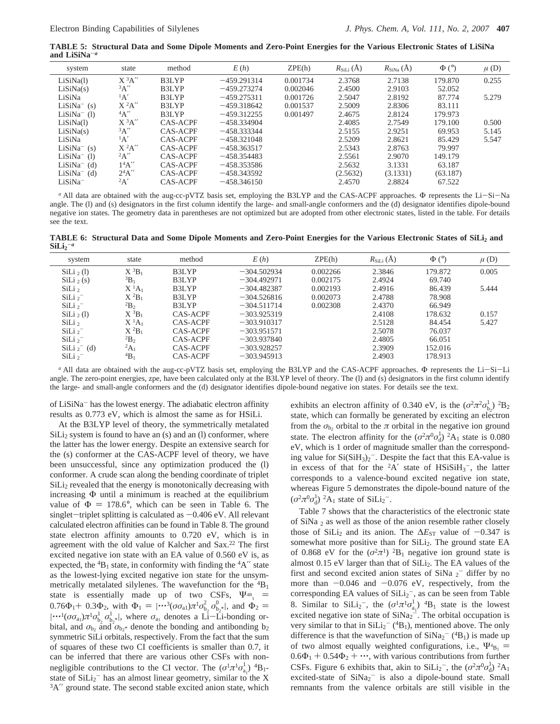**TABLE 5: Structural Data and Some Dipole Moments and Zero-Point Energies for the Various Electronic States of LiSiNa and LiSiNa**-*<sup>a</sup>*

| system         | state               | method          | E(h)          | ZPE(h)   | $R_{\text{SiLi}}(\text{\AA})$ | $R_{\text{SiNa}}(\text{A})$ | $\Phi$ (°) | $\mu$ (D) |
|----------------|---------------------|-----------------|---------------|----------|-------------------------------|-----------------------------|------------|-----------|
| LiSiNa(1)      | $X^3A''$            | B3LYP           | $-459.291314$ | 0.001734 | 2.3768                        | 2.7138                      | 179.870    | 0.255     |
| LiSiNa(s)      | 3A''                | B3LYP           | $-459.273274$ | 0.002046 | 2.4500                        | 2.9103                      | 52.052     |           |
| LiSiNa         | $\mathbf{A}'$       | B3LYP           | $-459.275311$ | 0.001726 | 2.5047                        | 2.8192                      | 87.774     | 5.279     |
| $LiSiNa-$ (s)  | $X^2A''$            | B3LYP           | $-459.318642$ | 0.001537 | 2.5009                        | 2.8306                      | 83.111     |           |
| $LiSiNa^-$ (1) | 4A''                | B3LYP           | $-459.312255$ | 0.001497 | 2.4675                        | 2.8124                      | 179.973    |           |
| LiSiNa(1)      | $X$ <sup>3</sup> A" | CAS-ACPF        | $-458.334904$ |          | 2.4085                        | 2.7549                      | 179.100    | 0.500     |
| LiSiNa(s)      | $\mathrm{^3A''}$    | CAS-ACPF        | $-458.333344$ |          | 2.5155                        | 2.9251                      | 69.953     | 5.145     |
| LiSiNa         | $\mathbf{A}'$       | CAS-ACPF        | $-458.321048$ |          | 2.5209                        | 2.8621                      | 85.429     | 5.547     |
| $LiSiNa^-$ (s) | $X^2A''$            | CAS-ACPF        | $-458.363517$ |          | 2.5343                        | 2.8763                      | 79.997     |           |
| $LiSiNa^-$ (1) | 2A''                | CAS-ACPF        | $-458.354483$ |          | 2.5561                        | 2.9070                      | 149.179    |           |
| $LiSiNa-$ (d)  | 14A''               | CAS-ACPF        | $-458.353586$ |          | 2.5632                        | 3.1331                      | 63.187     |           |
| $LiSiNa^-$ (d) | $2^4A''$            | CAS-ACPF        | $-458.343592$ |          | (2.5632)                      | (3.1331)                    | (63.187)   |           |
| $LiSiNa^{-}$   | 2A'                 | <b>CAS-ACPF</b> | $-458.346150$ |          | 2.4570                        | 2.8824                      | 67.522     |           |
|                |                     |                 |               |          |                               |                             |            |           |

*<sup>a</sup>* All data are obtained with the aug-cc-pVTZ basis set, employing the B3LYP and the CAS-ACPF approaches. <sup>Φ</sup> represents the Li-Si-Na angle. The (l) and (s) designators in the first column identify the large- and small-angle conformers and the (d) designator identifies dipole-bound negative ion states. The geometry data in parentheses are not optimized but are adopted from other electronic states, listed in the table. For details see the text.

**TABLE 6: Structural Data and Some Dipole Moments and Zero-Point Energies for the Various Electronic States of SiLi2 and**  $\text{SiLi}_2{}^{-a}$ 

| system              | state                | method   | E(h)          | ZPE(h)   | $R_{\text{SiLi}}(\text{A})$ | $\Phi$ ( $\circ$ ) | $\mu$ (D) |
|---------------------|----------------------|----------|---------------|----------|-----------------------------|--------------------|-----------|
| $\text{SiLi}_2(l)$  | $X^3B_1$             | B3LYP    | $-304.502934$ | 0.002266 | 2.3846                      | 179.872            | 0.005     |
| $\text{SiLi}_2(s)$  | ${}^3B_1$            | B3LYP    | $-304.492971$ | 0.002175 | 2.4924                      | 69.740             |           |
| SiLi <sub>2</sub>   | $X^{1}A_{1}$         | B3LYP    | $-304.482387$ | 0.002193 | 2.4916                      | 86.439             | 5.444     |
| SiLi $2^-$          | $X^2B_1$             | B3LYP    | $-304.526816$ | 0.002073 | 2.4788                      | 78.908             |           |
| SiLi $2^-$          | ${}^{2}B_{2}$        | B3LYP    | $-304.511714$ | 0.002308 | 2.4370                      | 66.949             |           |
| $\text{SiLi}_2$ (1) | $X^3B_1$             | CAS-ACPF | $-303.925319$ |          | 2.4108                      | 178.632            | 0.157     |
| SiLi <sub>2</sub>   | $X^{1}A_{1}$         | CAS-ACPF | $-303.910317$ |          | 2.5128                      | 84.454             | 5.427     |
| SiLi $2^-$          | $X^2B_1$             | CAS-ACPF | $-303.951571$ |          | 2.5078                      | 76.037             |           |
| SiLi <sub>2</sub>   | ${}^{2}B_2$          | CAS-ACPF | $-303.937840$ |          | 2.4805                      | 66.051             |           |
| $SiLi2-$ (d)        | ${}^2A_1$            | CAS-ACPF | $-303.928257$ |          | 2.3909                      | 152.016            |           |
| SiLi $2^-$          | $\mathrm{^{4}B_{1}}$ | CAS-ACPF | $-303.945913$ |          | 2.4903                      | 178.913            |           |
|                     |                      |          |               |          |                             |                    |           |

*<sup>a</sup>* All data are obtained with the aug-cc-pVTZ basis set, employing the B3LYP and the CAS-ACPF approaches. <sup>Φ</sup> represents the Li-Si-Li angle. The zero-point energies, zpe, have been calculated only at the B3LYP level of theory. The (1) and (s) designators in the first column identify the large- and small-angle conformers and the (d) designator identifies dipole-bound negative ion states. For details see the text.

of LiSiNa<sup>-</sup> has the lowest energy. The adiabatic electron affinity results as 0.773 eV, which is almost the same as for HSiLi.

At the B3LYP level of theory, the symmetrically metalated  $\text{SiLi}_2$  system is found to have an (s) and an (l) conformer, where the latter has the lower energy. Despite an extensive search for the (s) conformer at the CAS-ACPF level of theory, we have been unsuccessful, since any optimization produced the (l) conformer. A crude scan along the bending coordinate of triplet  $\overline{\text{Sil}}_2$  revealed that the energy is monotonically decreasing with increasing Φ until a minimum is reached at the equilibrium value of  $\Phi = 178.6^{\circ}$ , which can be seen in Table 6. The singlet-triplet splitting is calculated as  $-0.406$  eV. All relevant calculated electron affinities can be found in Table 8. The ground state electron affinity amounts to 0.720 eV, which is in agreement with the old value of Kalcher and Sax.22 The first excited negative ion state with an EA value of 0.560 eV is, as expected, the  ${}^{4}B_1$  state, in conformity with finding the  ${}^{4}A''$  state as the lowest-lying excited negative ion state for the unsymmetrically metalated silylenes. The wavefunction for the  ${}^{4}B_1$ state is essentially made up of two CSFs,  $\Psi_{4B_1}$  =  $0.76\Phi_1 + 0.3\Phi_2$ , with  $\Phi_1 = |\cdots^3(\sigma\sigma_{a_1})\pi^1\sigma_{b_2}^2\sigma_{b_2*}^0|$ , and  $\Phi_2 = |\cdots^1(\sigma\sigma_1)\pi^1\sigma_{b_2}^1\sigma_{b_2}^1|$ , where  $\sigma_1$  denotes a Li-Li-bonding or- $|\cdot\cdot\cdot|(\sigma\sigma_{a_1})\pi^1\sigma_{b_2}^1\sigma_{b_2*}^1|$ , where  $\sigma_{a_1}$  denotes a Li-Li-bonding or-<br>bital and  $\sigma_{b_1}$  and  $\sigma_{b_2}$  denote the bonding and antibonding be bital, and  $\sigma_{b_2}$  and  $\sigma_{b_2}$ <sup>\*</sup> denote the bonding and antibonding b<sub>2</sub> symmetric SiLi orbitals, respectively. From the fact that the sum of squares of these two CI coefficients is smaller than 0.7, it can be inferred that there are various other CSFs with nonnegligible contributions to the CI vector. The  $(\sigma^1 \pi^1 \sigma_{a_1}^1)$   ${}^4B_1$ state of  $\text{SiLi}_2$ <sup>-</sup> has an almost linear geometry, similar to the X  ${}^{3}A''$  ground state. The second stable excited anion state, which

exhibits an electron affinity of 0.340 eV, is the  $(\sigma^2 \pi^2 \sigma_{b_2}^1)^2 B_2$ state, which can formally be generated by exciting an electron from the  $\sigma_{b_2}$  orbital to the  $\pi$  orbital in the negative ion ground state. The electron affinity for the  $(\sigma^2 \pi^0 \sigma_d^1)$  <sup>2</sup>A<sub>1</sub> state is 0.080 eV, which is 1 order of magnitude smaller than the corresponding value for  $Si(SiH<sub>3</sub>)<sub>2</sub>$ . Despite the fact that this EA-value is in excess of that for the  ${}^{2}A'$  state of HSiSiH<sub>3</sub><sup>-</sup>, the latter corresponds to a valence-bound excited negative ion state, whereas Figure 5 demonstrates the dipole-bound nature of the  $(\sigma^2 \pi^0 \sigma_d^1)$  <sup>2</sup>A<sub>1</sub> state of SiLi<sub>2</sub><sup>-</sup>.

Table 7 shows that the characteristics of the electronic state of SiNa <sup>2</sup> as well as those of the anion resemble rather closely those of SiLi<sub>2</sub> and its anion. The  $\Delta E_{ST}$  value of  $-0.347$  is somewhat more positive than for SiLi<sub>2</sub>. The ground state EA of 0.868 eV for the  $(\sigma^2 \pi^1)$  <sup>2</sup>B<sub>1</sub> negative ion ground state is almost 0.15 eV larger than that of SiLi<sub>2</sub>. The EA values of the first and second excited anion states of SiNa  $2^-$  differ by no more than  $-0.046$  and  $-0.076$  eV, respectively, from the corresponding EA values of  $SiLi<sub>2</sub><sup>-</sup>$ , as can be seen from Table 8. Similar to SiLi<sub>2</sub><sup>-</sup>, the  $(\sigma^1 \pi^1 \sigma_{a_1}^1)$  <sup>4</sup>B<sub>1</sub> state is the lowest excited negative ion state of  $\text{SiNa}_2^{\text{-}}$ . The orbital occupation is very similar to that in  $SiLi<sub>2</sub><sup>-</sup>$  (<sup>4</sup>B<sub>1</sub>), mentioned above. The only difference is that the wavefunction of  $\text{SiNa}_2$ <sup>-</sup> (<sup>4</sup>B<sub>1</sub>) is made up of two almost equally weighted configurations, i.e.,  $\Psi_{\beta}$  = of two almost equally weighted configurations, i.e.,  $\Phi_{B_1}^* = 0.6\Phi_1 + 0.54\Phi_2 + \cdots$ , with various contributions from further CSFs. Figure 6 exhibits that, akin to SiLi<sub>2</sub><sup>-</sup>, the  $(\sigma^2 \pi^0 \sigma_d^1)^2 A_1$ excited-state of  $\text{SiNa}_2$ <sup>-</sup> is also a dipole-bound state. Small remnants from the valence orbitals are still visible in the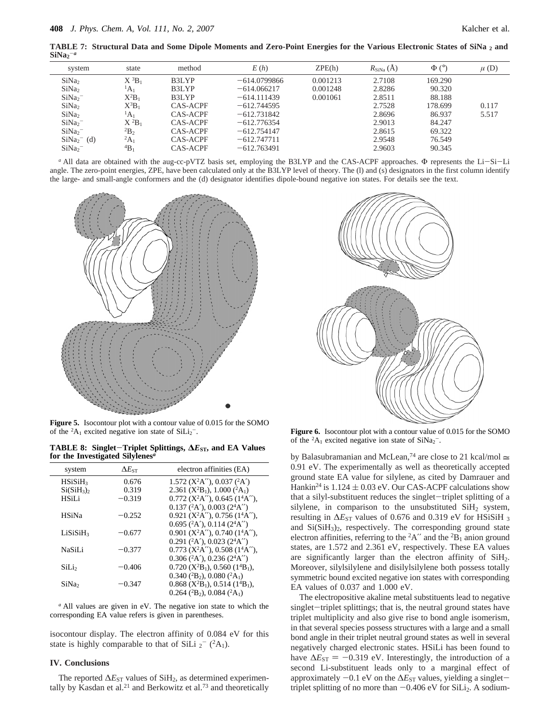**TABLE 7: Structural Data and Some Dipole Moments and Zero-Point Energies for the Various Electronic States of SiNa <sup>2</sup> and**  $\text{SiNa}_2^{-a}$ 

| system            | state                | method   | E(h)           | ZPE(h)   | $R_{\text{SiNa}}\left(A\right)$ | $\Phi$ ( $\circ$ ) | $\mu$ (D) |
|-------------------|----------------------|----------|----------------|----------|---------------------------------|--------------------|-----------|
| SiNa <sub>2</sub> | $X^3B_1$             | B3LYP    | $-614.0799866$ | 0.001213 | 2.7108                          | 169.290            |           |
| SiNa <sub>2</sub> | $\mathrm{^1A_1}$     | B3LYP    | $-614.066217$  | 0.001248 | 2.8286                          | 90.320             |           |
| SiNa <sub>2</sub> | $X^2B_1$             | B3LYP    | $-614.111439$  | 0.001061 | 2.8511                          | 88.188             |           |
| SiNa <sub>2</sub> | $X^3B_1$             | CAS-ACPF | $-612.744595$  |          | 2.7528                          | 178.699            | 0.117     |
| SiNa <sub>2</sub> | $\mathrm{^1A_1}$     | CAS-ACPF | $-612.731842$  |          | 2.8696                          | 86.937             | 5.517     |
| SiNa <sub>2</sub> | $X^2B_1$             | CAS-ACPF | $-612.776354$  |          | 2.9013                          | 84.247             |           |
| SiNa <sub>2</sub> | $^{2}B_{2}$          | CAS-ACPF | $-612.754147$  |          | 2.8615                          | 69.322             |           |
| $SiNa2-$ (d)      | $^{2}A_{1}$          | CAS-ACPF | $-612.747711$  |          | 2.9548                          | 76.549             |           |
| SiNa <sub>2</sub> | $\mathrm{^{4}B_{1}}$ | CAS-ACPF | $-612.763491$  |          | 2.9603                          | 90.345             |           |
|                   |                      |          |                |          |                                 |                    |           |

*a* All data are obtained with the aug-cc-pVTZ basis set, employing the B3LYP and the CAS-ACPF approaches. Φ represents the Li-Si-Li<br>ale The zero-point energies ZPE have been calculated only at the B3LYP level of theory T angle. The zero-point energies, ZPE, have been calculated only at the B3LYP level of theory. The (l) and (s) designators in the first column identify the large- and small-angle conformers and the (d) designator identifies dipole-bound negative ion states. For details see the text.



**Figure 5.** Isocontour plot with a contour value of 0.015 for the SOMO of the  ${}^{2}A_1$  excited negative ion state of SiLi<sub>2</sub><sup>-</sup>.

**TABLE 8: Singlet**-**Triplet Splittings, <sup>∆</sup>***E***ST, and EA Values for the Investigated Silylenes***<sup>a</sup>*

| system               | $\Delta E$ st | electron affinities (EA)                                                          |
|----------------------|---------------|-----------------------------------------------------------------------------------|
| HSiSiH <sub>3</sub>  | 0.676         | 1.572 ( $X^2A''$ ), 0.037 ( $^2A'$ )                                              |
| $Si(SiH_3)$          | 0.319         | 2.361 ( $X^2B_1$ ), 1.000 ( $^2A_1$ )                                             |
| <b>HSiLi</b>         | $-0.319$      | $0.772$ (X <sup>2</sup> A''), 0.645 (1 <sup>4</sup> A''),                         |
|                      |               | $0.137$ ( <sup>2</sup> A'), $0.003$ (2 <sup>4</sup> A'')                          |
| <b>HSiNa</b>         | $-0.252$      | $0.921$ (X <sup>2</sup> A''), 0.756 (1 <sup>4</sup> A''),                         |
|                      |               | $0.695$ ( $2$ A'), $0.114$ ( $24$ A'')                                            |
| LiSiSiH <sub>3</sub> | $-0.677$      | $0.901$ (X <sup>2</sup> A''), 0.740 (1 <sup>4</sup> A''),                         |
|                      |               | $0.291$ ( <sup>2</sup> A'), $0.023$ (2 <sup>4</sup> A'')                          |
| NaSiLi               | $-0.377$      | $0.773$ (X <sup>2</sup> A"), 0.508 (1 <sup>4</sup> A"),                           |
|                      |               | $0.306$ ( <sup>2</sup> A'), $0.236$ (2 <sup>4</sup> A'')                          |
| SiLi                 | $-0.406$      | $0.720$ (X <sup>2</sup> B <sub>1</sub> ), 0.560 (1 <sup>4</sup> B <sub>1</sub> ), |
|                      |               | $0.340$ ( <sup>2</sup> B <sub>2</sub> ), $0.080$ ( <sup>2</sup> A <sub>1</sub> )  |
| SiNa <sub>2</sub>    | $-0.347$      | $0.868$ (X <sup>2</sup> B <sub>1</sub> ), 0.514 (1 <sup>4</sup> B <sub>1</sub> ), |
|                      |               | 0.264 ( ${}^{2}B_2$ ), 0.084 ( ${}^{2}A_1$ )                                      |

*<sup>a</sup>* All values are given in eV. The negative ion state to which the corresponding EA value refers is given in parentheses.

isocontour display. The electron affinity of 0.084 eV for this state is highly comparable to that of SiLi  $_2^-$  (<sup>2</sup>A<sub>1</sub>).

### **IV. Conclusions**

The reported  $\Delta E_{ST}$  values of SiH<sub>2</sub>, as determined experimentally by Kasdan et al.<sup>21</sup> and Berkowitz et al.<sup>73</sup> and theoretically



**Figure 6.** Isocontour plot with a contour value of 0.015 for the SOMO of the  ${}^{2}A_1$  excited negative ion state of SiNa<sub>2</sub><sup>-</sup>.

by Balasubramanian and McLean,<sup>74</sup> are close to 21 kcal/mol  $\approx$ 0.91 eV. The experimentally as well as theoretically accepted ground state EA value for silylene, as cited by Damrauer and Hankin<sup>24</sup> is  $1.124 \pm 0.03$  eV. Our CAS-ACPF calculations show that a silyl-substituent reduces the singlet-triplet splitting of a silylene, in comparison to the unsubstituted SiH<sub>2</sub> system, resulting in Δ*E*<sub>ST</sub> values of 0.676 and 0.319 eV for HSiSiH<sub>3</sub> and  $Si(SiH<sub>3</sub>)<sub>2</sub>$ , respectively. The corresponding ground state electron affinities, referring to the  ${}^{2}A''$  and the  ${}^{2}B_1$  anion ground states, are 1.572 and 2.361 eV, respectively. These EA values are significantly larger than the electron affinity of SiH<sub>2</sub>. Moreover, silylsilylene and disilylsilylene both possess totally symmetric bound excited negative ion states with corresponding EA values of 0.037 and 1.000 eV.

The electropositive akaline metal substituents lead to negative singlet-triplet splittings; that is, the neutral ground states have triplet multiplicity and also give rise to bond angle isomerism, in that several species possess structures with a large and a small bond angle in their triplet neutral ground states as well in several negatively charged electronic states. HSiLi has been found to have  $\Delta E_{ST} = -0.319$  eV. Interestingly, the introduction of a second Li-substituent leads only to a marginal effect of approximately  $-0.1$  eV on the  $\Delta E_{ST}$  values, yielding a singlettriplet splitting of no more than  $-0.406$  eV for SiLi<sub>2</sub>. A sodium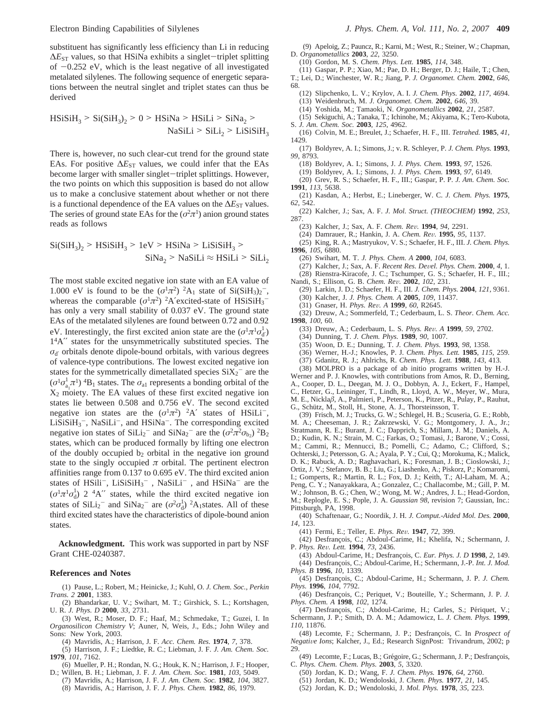substituent has significantly less efficiency than Li in reducing  $\Delta E_{ST}$  values, so that HSiNa exhibits a singlet-triplet splitting of  $-0.252$  eV, which is the least negative of all investigated metalated silylenes. The following sequence of energetic separations between the neutral singlet and triplet states can thus be derived

$$
HSiSiH_3 > Si(SiH_3)_2 > 0 > HSiNa > HSiLi > SiNa_2 >
$$

$$
NaSiLi > SiLi_2 > LiSiSiH_3
$$

There is, however, no such clear-cut trend for the ground state EAs. For positive  $\Delta E_{ST}$  values, we could infer that the EAs become larger with smaller singlet-triplet splittings. However, the two points on which this supposition is based do not allow us to make a conclusive statement about whether or not there is a functional dependence of the EA values on the  $\Delta E_{ST}$  values. The series of ground state EAs for the  $(\sigma^2 \pi^1)$  anion ground states reads as follows

$$
Si(SiH3)2 > HSiSiH3 > 1eV > HSiNa > LisiSiH3 >SiNa2 > NaSiLi  $\approx$  HSiLi > SiLi<sub>2</sub>
$$

The most stable excited negative ion state with an EA value of 1.000 eV is found to be the  $(\sigma^1 \pi^2)^2 A_1$  state of Si(SiH<sub>3</sub>)<sub>2</sub><sup>-</sup>, whereas the comparable  $(\sigma^1 \pi^2)$  <sup>2</sup>A'excited-state of HSiSiH<sub>3</sub><sup>-</sup> has only a very small stability of 0.037 eV. The ground state EAs of the metalated silylenes are found between 0.72 and 0.92 eV. Interestingly, the first excited anion state are the  $(\sigma^1 \pi^1 \sigma_d^1)$ 14A′′ states for the unsymmetrically substituted species. The  $\sigma_{d'}$  orbitals denote dipole-bound orbitals, with various degrees of valence-type contributions. The lowest excited negative ion states for the symmetrically dimetallated species  $SiX_2^-$  are the  $({\sigma}^1 {\sigma}^1_{a_1} {\tau}^1)$  <sup>4</sup>B<sub>1</sub> states. The  ${\sigma}$ <sub>a1</sub> represents a bonding orbital of the  $X_2$  moiety. The EA values of these first excited negative ion states lie between 0.508 and 0.756 eV. The second excited negative ion states are the  $(\sigma^1 \pi^2)^2$ A' states of HSiLi<sup>-</sup>,  $LiSiSiH<sub>3</sub>$ , Na $SiLi<sup>-</sup>$ , and HSiNa<sup>-</sup>. The corresponding excited negative ion states of  $\text{SiLi}_2$ <sup>-</sup> and  $\text{SiNa}_2$ <sup>-</sup> are the  $(\sigma^2 \pi^2 \sigma_{b_2})$  <sup>2</sup>B<sub>2</sub> states, which can be produced formally by lifting one electron of the doubly occupied  $b_2$  orbital in the negative ion ground state to the singly occupied  $\pi$  orbital. The pertinent electron affinities range from 0.137 to 0.695 eV. The third excited anion states of  $HSiIi^{-}$ ,  $LiSiSiH<sub>3</sub><sup>-</sup>$ ,  $NaSiLi^{-}$ , and  $HSiNa^{-}$  are the  $(\sigma^1 \pi^1 \sigma_d^1)$  2 <sup>4</sup>A″ states, while the third excited negative ion states of  $SiLi<sub>2</sub><sup>-</sup>$  and  $SiNa<sub>2</sub><sup>-</sup>$  are  $(\sigma^2 \sigma_d^1)^2 A_1$ states. All of these third excited states have the characteristics of dipole-bound anion states.

**Acknowledgment.** This work was supported in part by NSF Grant CHE-0240387.

#### **References and Notes**

(1) Pause, L.; Robert, M.; Heinicke, J.; Kuhl, O. *J. Chem. Soc., Perkin Trans. 2* **2001**, 1383.

(2) Bhandarkar, U. V.; Swihart, M. T.; Girshick, S. L.; Kortshagen, U. R. *J. Phys. D* **2000**, *33*, 2731.

(3) West, R.; Moser, D. F.; Haaf, M.; Schmedake, T.; Guzei, I. In *Organosilicon Chemistry V*; Auner, N, Weis, J., Eds.; John Wiley and Sons: New York, 2003.

(4) Mavridis, A.; Harrison, J. F. *Acc. Chem. Res.* **1974**, *7*, 378.

(5) Harrison, J. F.; Liedtke, R. C.; Liebman, J. F. *J. Am. Chem. Soc.* **1979**, *101*, 7162.

- (6) Mueller, P. H.; Rondan, N. G.; Houk, K. N.; Harrison, J. F.; Hooper, D.; Willen, B. H.; Liebman, J. F. *J. Am. Chem. Soc.* **1981**, *103*, 5049.
- (7) Mavridis, A.; Harrison, J. F. *J. Am. Chem. Soc.* **1982**, *104*, 3827. (8) Mavridis, A.; Harrison, J. F. *J. Phys. Chem.* **1982**, *86*, 1979.

(9) Apeloig, Z.; Pauncz, R.; Karni, M.; West, R.; Steiner, W.; Chapman, D. *Organometallics* **2003**, *22*, 3250.

- (10) Gordon, M. S. *Chem. Phys. Lett.* **1985**, *114*, 348.
- (11) Gaspar, P. P.; Xiao, M.; Pae, D. H.; Berger, D. J.; Haile, T.; Chen,

T.; Lei, D.; Winchester, W. R.; Jiang, P. *J. Organomet. Chem.* **2002**, *646*, 68.

- (12) Slipchenko, L. V.; Krylov, A. I. *J. Chem. Phys.* **2002**, *117*, 4694.
- (13) Weidenbruch, M. *J. Organomet. Chem.* **2002**, *646*, 39.
- (14) Yoshida, M.; Tamaoki, N. *Organometallics* **2002**, *21*, 2587.
- (15) Sekiguchi, A.; Tanaka, T.; Ichinohe, M.; Akiyama, K.; Tero-Kubota, S. *J. Am. Chem. Soc.* **2003**, *125*, 4962.

(16) Colvin, M. E.; Breulet, J.; Schaefer, H. F., III. *Tetrahed.* **1985**, *41*,

- 1429. (17) Boldyrev, A. I.; Simons, J.; v. R. Schleyer, P. *J. Chem. Phys.* **1993**, *99*, 8793.
	- (18) Boldyrev, A. I.; Simons, J. *J. Phys. Chem.* **1993**, *97*, 1526.
	- (19) Boldyrev, A. I.; Simons, J. *J. Phys. Chem.* **1993**, *97*, 6149.
- (20) Grev, R. S.; Schaefer, H. F., III.; Gaspar, P. P. *J. Am. Chem. Soc.* **1991**, *113*, 5638.
- (21) Kasdan, A.; Herbst, E.; Lineberger, W. C. *J. Chem. Phys.* **1975**, *62*, 542.
- (22) Kalcher, J.; Sax, A. F. *J. Mol. Struct. (THEOCHEM)* **1992**, *253*, 287.
	- (23) Kalcher, J.; Sax, A. F. *Chem. Re*V*.* **<sup>1994</sup>**, *<sup>94</sup>*, 2291.
	- (24) Damrauer, R.; Hankin, J. A. *Chem. Re*V*.* **<sup>1995</sup>**, *<sup>95</sup>*, 1137.

(25) King, R. A.; Mastryukov, V. S.; Schaefer, H. F., III. *J. Chem. Phys.* **1996**, *105*, 6880.

- (26) Swihart, M. T. *J. Phys. Chem. A* **2000**, *104*, 6083.
- (27) Kalcher, J.; Sax, A. F. *Recent Res. De*V*el. Phys. Chem.* **<sup>2000</sup>**, *<sup>4</sup>*, 1.

(28) Rienstra-Kiracofe, J. C.; Tschumper, G. S.; Schaefer, H. F., III.; Nandi, S.; Ellison, G. B. *Chem. Re*V*.* **<sup>2002</sup>**, *<sup>102</sup>*, 231.

- (29) Larkin, J. D.; Schaefer, H. F., III. *J. Chem. Phys.* **2004**, *121*, 9361. (30) Kalcher, J. *J. Phys. Chem. A* **2005**, *109*, 11437.
- (31) Gnaser, H. *Phys. Re*V*. A* **<sup>1999</sup>**, *<sup>60</sup>*, R2645.

(32) Dreuw, A.; Sommerfeld, T.; Cederbaum, L. S. *Theor. Chem. Acc.* **1998**, *100*, 60.

(33) Dreuw, A.; Cederbaum, L. S. *Phys. Re*V*. A* **<sup>1999</sup>**, *<sup>59</sup>*, 2702.

(34) Dunning, T. *J. Chem. Phys.* **1989**, *90*, 1007.

- (35) Woon, D. E.; Dunning, T. *J. Chem. Phys.* **1993**, *98*, 1358.
- (36) Werner, H.-J.; Knowles, P. J. *Chem. Phys. Lett.* **1985**, *115*, 259.
- (37) Gdanitz, R. J.; Ahlrichs, R. *Chem. Phys. Lett.* **1988**, *143*, 413.

(38) MOLPRO is a package of ab initio programs written by H.-J. Werner and P. J. Knowles, with contributions from Amos, R. D., Berning, A., Cooper, D. L., Deegan, M. J. O., Dobbyn, A. J., Eckert, F., Hampel, C., Hetzer, G., Leininger, T., Lindh, R., Lloyd, A. W., Meyer, W., Mura, M. E., Nickla*â*, A., Palmieri, P., Peterson, K., Pitzer, R., Pulay, P., Rauhut,

G., Schütz, M., Stoll, H., Stone, A. J., Thorsteinsson, T.

(39) Frisch, M. J.; Trucks, G. W.; Schlegel, H. B.; Scuseria, G. E.; Robb, M. A.; Cheeseman, J. R.; Zakrzewski, V. G.; Montgomery, J. A., Jr.; Stratmann, R. E.; Burant, J. C.; Dapprich, S.; Millam, J. M.; Daniels, A. D.; Kudin, K. N.; Strain, M. C.; Farkas, O.; Tomasi, J.; Barone, V.; Cossi, M.; Cammi, R.; Mennucci, B.; Pomelli, C.; Adamo, C.; Clifford, S.; Ochterski, J.; Petersson, G. A.; Ayala, P. Y.; Cui, Q.; Morokuma, K.; Malick, D. K.; Rabuck, A. D.; Raghavachari, K.; Foresman, J. B.; Cioslowski, J.; Ortiz, J. V.; Stefanov, B. B.; Liu, G.; Liashenko, A.; Piskorz, P.; Komaromi, I.; Gomperts, R.; Martin, R. L.; Fox, D. J.; Keith, T.; Al-Laham, M. A.; Peng, C. Y.; Nanayakkara, A.; Gonzalez, C.; Challacombe, M.; Gill, P. M. W.; Johnson, B. G.; Chen, W.; Wong, M. W.; Andres, J. L.; Head-Gordon, M.; Replogle, E. S.; Pople, J. A. *Gaussian 98*, revision 7; Gaussian, Inc.: Pittsburgh, PA, 1998.

(40) Schaftenaar, G.; Noordik, J. H. *J. Comput.-Aided Mol. Des.* **2000**, *14*, 123.

- (41) Fermi, E.; Teller, E. *Phys. Re*V*.* **<sup>1947</sup>**, *<sup>72</sup>*, 399.
- (42) Desfrançois, C.; Abdoul-Carime, H.; Khelifa, N.; Schermann, J. P. *Phys. Re*V*. Lett.* **<sup>1994</sup>**, *<sup>73</sup>*, 2436.
- (43) Abdoul-Carime, H.; Desfrançois, C. *Eur. Phys. J. D* **1998**, 2, 149. (44) Desfrançois, C.; Abdoul-Carime, H.; Schermann, J.-P. *Int. J. Mod. Phys. B* **1996**, *10*, 1339.
- (45) Desfrançois, C.; Abdoul-Carime, H.; Schermann, J. P. *J. Chem. Phys.* **1996**, *104*, 7792.
- (46) Desfrançois, C.; Periquet, V.; Bouteille, Y.; Schermann, J. P. *J. Phys. Chem. A* **1998**, *102*, 1274.

(47) Desfrançois, C.; Abdoul-Carime, H.; Carles, S.; Périquet, V.; Schermann, J. P.; Smith, D. A. M.; Adamowicz, L. *J. Chem. Phys.* **1999**, *110*, 11876.

(48) Lecomte, F.; Schermann, J. P.; Desfrançois, C. In *Prospect of Negative Ions*; Kalcher, J., Ed.; Research SignPost: Trivandrum, 2002; p 29.

- (49) Lecomte, F.; Lucas, B.; Grégoire, G.; Schermann, J. P.; Desfrançois, C. *Phys. Chem. Chem. Phys.* **2003**, *5*, 3320.
	- (50) Jordan, K. D.; Wang, F. *J. Chem. Phys.* **1976**, *64*, 2760.
	- (51) Jordan, K. D.; Wendoloski, J. *Chem. Phys.* **1977**, *21*, 145.
	- (52) Jordan, K. D.; Wendoloski, J. *Mol. Phys.* **1978**, *35*, 223.